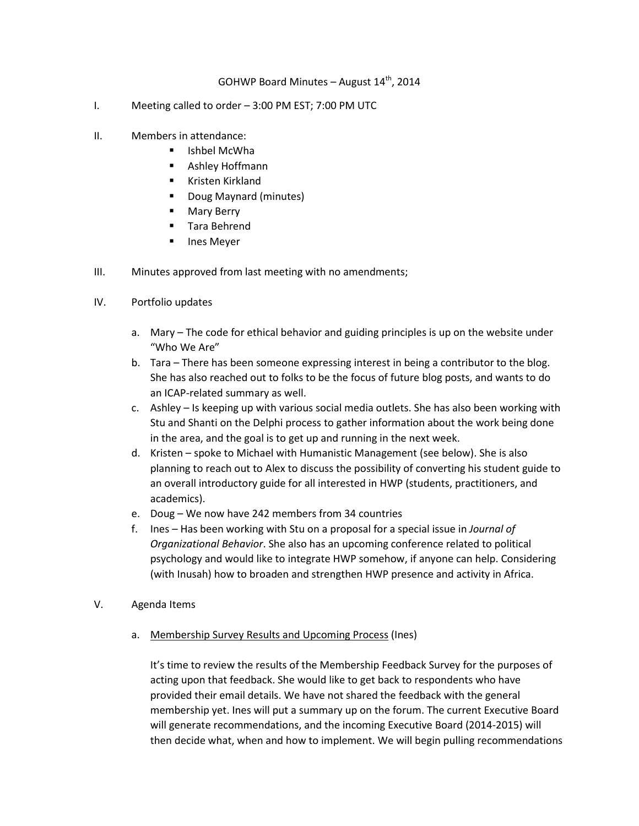## GOHWP Board Minutes - August  $14<sup>th</sup>$ , 2014

- I. Meeting called to order 3:00 PM EST; 7:00 PM UTC
- II. Members in attendance:
	- **E** Ishbel McWha
	- Ashley Hoffmann
	- **Kristen Kirkland**
	- Doug Maynard (minutes)
	- **Mary Berry**
	- **Tara Behrend**
	- **Ines Meyer**
- III. Minutes approved from last meeting with no amendments;
- IV. Portfolio updates
	- a. Mary The code for ethical behavior and guiding principles is up on the website under "Who We Are"
	- b. Tara There has been someone expressing interest in being a contributor to the blog. She has also reached out to folks to be the focus of future blog posts, and wants to do an ICAP-related summary as well.
	- c. Ashley Is keeping up with various social media outlets. She has also been working with Stu and Shanti on the Delphi process to gather information about the work being done in the area, and the goal is to get up and running in the next week.
	- d. Kristen spoke to Michael with Humanistic Management (see below). She is also planning to reach out to Alex to discuss the possibility of converting his student guide to an overall introductory guide for all interested in HWP (students, practitioners, and academics).
	- e. Doug We now have 242 members from 34 countries
	- f. Ines Has been working with Stu on a proposal for a special issue in *Journal of Organizational Behavior*. She also has an upcoming conference related to political psychology and would like to integrate HWP somehow, if anyone can help. Considering (with Inusah) how to broaden and strengthen HWP presence and activity in Africa.
- V. Agenda Items
	- a. Membership Survey Results and Upcoming Process (Ines)

It's time to review the results of the Membership Feedback Survey for the purposes of acting upon that feedback. She would like to get back to respondents who have provided their email details. We have not shared the feedback with the general membership yet. Ines will put a summary up on the forum. The current Executive Board will generate recommendations, and the incoming Executive Board (2014-2015) will then decide what, when and how to implement. We will begin pulling recommendations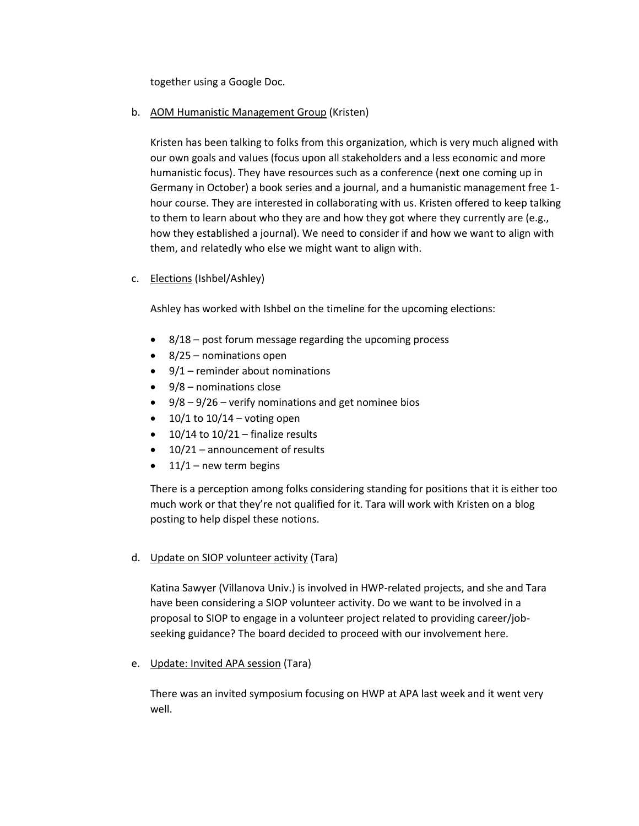together using a Google Doc.

## b. AOM Humanistic Management Group (Kristen)

Kristen has been talking to folks from this organization, which is very much aligned with our own goals and values (focus upon all stakeholders and a less economic and more humanistic focus). They have resources such as a conference (next one coming up in Germany in October) a book series and a journal, and a humanistic management free 1 hour course. They are interested in collaborating with us. Kristen offered to keep talking to them to learn about who they are and how they got where they currently are (e.g., how they established a journal). We need to consider if and how we want to align with them, and relatedly who else we might want to align with.

c. Elections (Ishbel/Ashley)

Ashley has worked with Ishbel on the timeline for the upcoming elections:

- 8/18 post forum message regarding the upcoming process
- 8/25 nominations open
- $\bullet$  9/1 reminder about nominations
- $\bullet$  9/8 nominations close
- $\bullet$  9/8 9/26 verify nominations and get nominee bios
- $\bullet$  10/1 to 10/14 voting open
- $\bullet$  10/14 to 10/21 finalize results
- 10/21 announcement of results
- $\bullet$  11/1 new term begins

There is a perception among folks considering standing for positions that it is either too much work or that they're not qualified for it. Tara will work with Kristen on a blog posting to help dispel these notions.

d. Update on SIOP volunteer activity (Tara)

Katina Sawyer (Villanova Univ.) is involved in HWP-related projects, and she and Tara have been considering a SIOP volunteer activity. Do we want to be involved in a proposal to SIOP to engage in a volunteer project related to providing career/jobseeking guidance? The board decided to proceed with our involvement here.

e. Update: Invited APA session (Tara)

There was an invited symposium focusing on HWP at APA last week and it went very well.